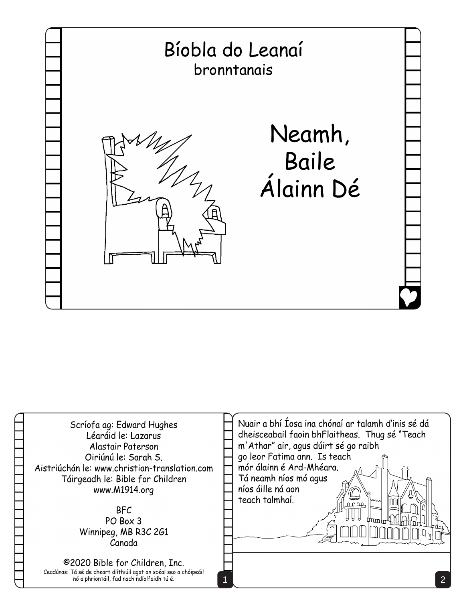

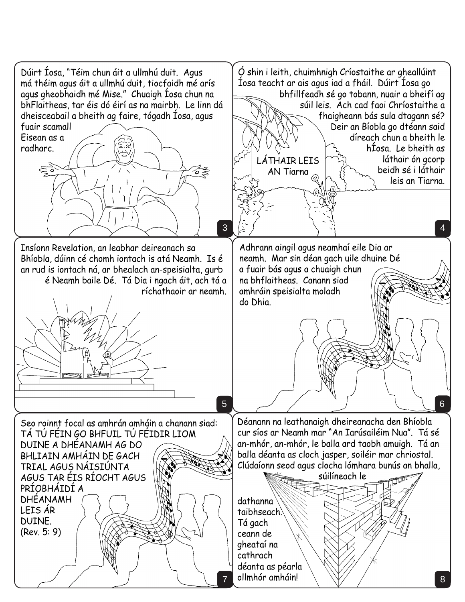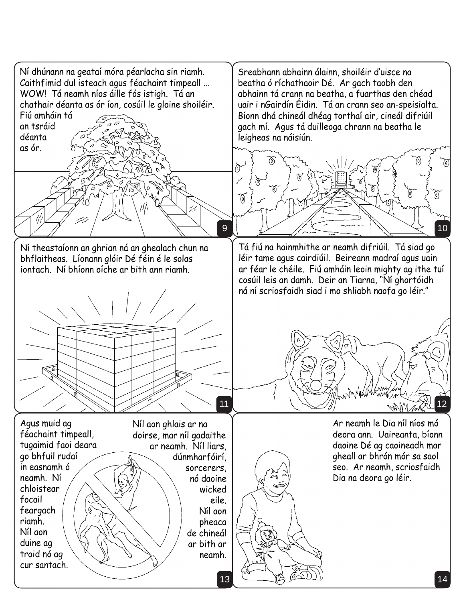